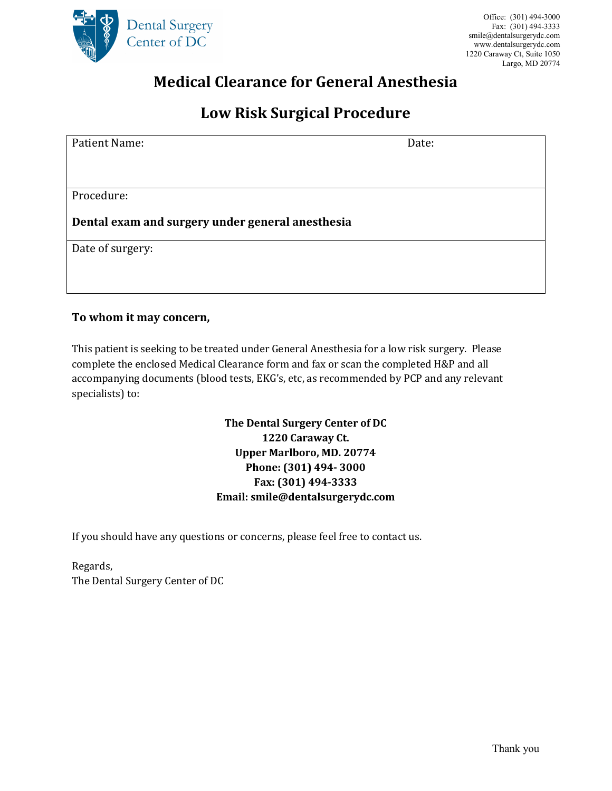

## Medical Clearance for General Anesthesia

## Low Risk Surgical Procedure

| Patient Name:                                    | Date: |  |  |  |  |  |
|--------------------------------------------------|-------|--|--|--|--|--|
|                                                  |       |  |  |  |  |  |
|                                                  |       |  |  |  |  |  |
| Procedure:                                       |       |  |  |  |  |  |
| Dental exam and surgery under general anesthesia |       |  |  |  |  |  |
| Date of surgery:                                 |       |  |  |  |  |  |
|                                                  |       |  |  |  |  |  |
|                                                  |       |  |  |  |  |  |

## To whom it may concern,

This patient is seeking to be treated under General Anesthesia for a low risk surgery. Please complete the enclosed Medical Clearance form and fax or scan the completed H&P and all accompanying documents (blood tests, EKG's, etc, as recommended by PCP and any relevant specialists) to:

> The Dental Surgery Center of DC 1220 Caraway Ct. Upper Marlboro, MD. 20774 Phone: (301) 494- 3000 Fax: (301) 494-3333 Email: smile@dentalsurgerydc.com

If you should have any questions or concerns, please feel free to contact us.

Regards, The Dental Surgery Center of DC